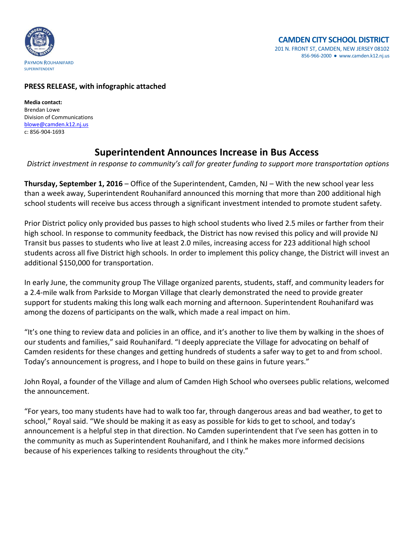

## **PRESS RELEASE, with infographic attached**

**Media contact:** Brendan Lowe Division of Communications [blowe@camden.k12.nj.us](mailto:blowe@camden.k12.nj.us) c: 856-904-1693

## **Superintendent Announces Increase in Bus Access**

*District investment in response to community's call for greater funding to support more transportation options* 

**Thursday, September 1, 2016** – Office of the Superintendent, Camden, NJ – With the new school year less than a week away, Superintendent Rouhanifard announced this morning that more than 200 additional high school students will receive bus access through a significant investment intended to promote student safety.

Prior District policy only provided bus passes to high school students who lived 2.5 miles or farther from their high school. In response to community feedback, the District has now revised this policy and will provide NJ Transit bus passes to students who live at least 2.0 miles, increasing access for 223 additional high school students across all five District high schools. In order to implement this policy change, the District will invest an additional \$150,000 for transportation.

In early June, the community group The Village organized parents, students, staff, and community leaders for a 2.4-mile walk from Parkside to Morgan Village that clearly demonstrated the need to provide greater support for students making this long walk each morning and afternoon. Superintendent Rouhanifard was among the dozens of participants on the walk, which made a real impact on him.

"It's one thing to review data and policies in an office, and it's another to live them by walking in the shoes of our students and families," said Rouhanifard. "I deeply appreciate the Village for advocating on behalf of Camden residents for these changes and getting hundreds of students a safer way to get to and from school. Today's announcement is progress, and I hope to build on these gains in future years."

John Royal, a founder of the Village and alum of Camden High School who oversees public relations, welcomed the announcement.

"For years, too many students have had to walk too far, through dangerous areas and bad weather, to get to school," Royal said. "We should be making it as easy as possible for kids to get to school, and today's announcement is a helpful step in that direction. No Camden superintendent that I've seen has gotten in to the community as much as Superintendent Rouhanifard, and I think he makes more informed decisions because of his experiences talking to residents throughout the city."